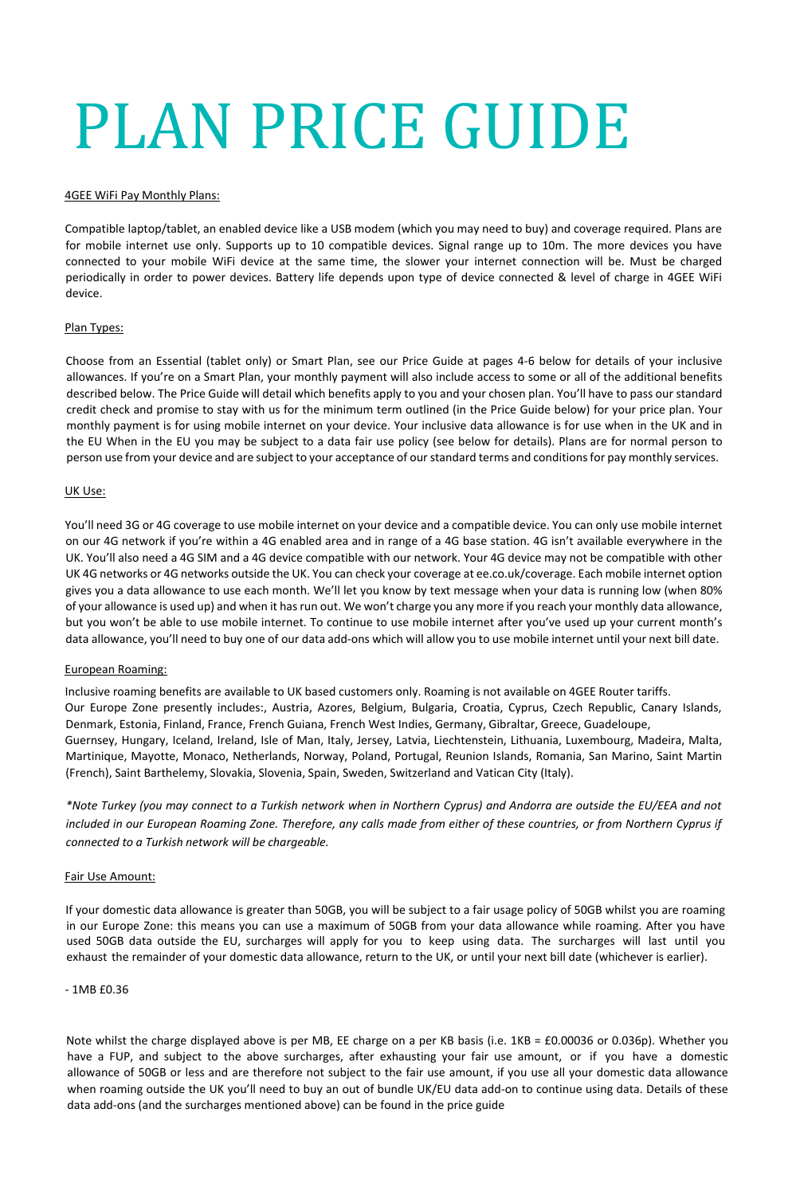# PLAN PRICE GUIDE

#### 4GEE WiFi Pay Monthly Plans:

Compatible laptop/tablet, an enabled device like a USB modem (which you may need to buy) and coverage required. Plans are for mobile internet use only. Supports up to 10 compatible devices. Signal range up to 10m. The more devices you have connected to your mobile WiFi device at the same time, the slower your internet connection will be. Must be charged periodically in order to power devices. Battery life depends upon type of device connected & level of charge in 4GEE WiFi device.

#### Plan Types:

Choose from an Essential (tablet only) or Smart Plan, see our Price Guide at pages 4-6 below for details of your inclusive allowances. If you're on a Smart Plan, your monthly payment will also include access to some or all of the additional benefits described below. The Price Guide will detail which benefits apply to you and your chosen plan. You'll have to pass our standard credit check and promise to stay with us for the minimum term outlined (in the Price Guide below) for your price plan. Your monthly payment is for using mobile internet on your device. Your inclusive data allowance is for use when in the UK and in the EU When in the EU you may be subject to a data fair use policy (see below for details). Plans are for normal person to person use from your device and are subject to your acceptance of ourstandard terms and conditionsfor pay monthly services.

## UK Use:

You'll need 3G or 4G coverage to use mobile internet on your device and a compatible device. You can only use mobile internet on our 4G network if you're within a 4G enabled area and in range of a 4G base station. 4G isn't available everywhere in the UK. You'll also need a 4G SIM and a 4G device compatible with our network. Your 4G device may not be compatible with other UK 4G networks or 4G networks outside the UK. You can check your coverage at ee.co.uk/coverage. Each mobile internet option gives you a data allowance to use each month. We'll let you know by text message when your data is running low (when 80% of your allowance is used up) and when it has run out. We won't charge you any more if you reach your monthly data allowance, but you won't be able to use mobile internet. To continue to use mobile internet after you've used up your current month's data allowance, you'll need to buy one of our data add-ons which will allow you to use mobile internet until your next bill date.

#### European Roaming:

Inclusive roaming benefits are available to UK based customers only. Roaming is not available on 4GEE Router tariffs. Our Europe Zone presently includes:, Austria, Azores, Belgium, Bulgaria, Croatia, Cyprus, Czech Republic, Canary Islands, Denmark, Estonia, Finland, France, French Guiana, French West Indies, Germany, Gibraltar, Greece, Guadeloupe, Guernsey, Hungary, Iceland, Ireland, Isle of Man, Italy, Jersey, Latvia, Liechtenstein, Lithuania, Luxembourg, Madeira, Malta, Martinique, Mayotte, Monaco, Netherlands, Norway, Poland, Portugal, Reunion Islands, Romania, San Marino, Saint Martin (French), Saint Barthelemy, Slovakia, Slovenia, Spain, Sweden, Switzerland and Vatican City (Italy).

*\*Note Turkey (you may connect to a Turkish network when in Northern Cyprus) and Andorra are outside the EU/EEA and not included in our European Roaming Zone. Therefore, any calls made from either of these countries, or from Northern Cyprus if connected to a Turkish network will be chargeable.*

#### Fair Use Amount:

If your domestic data allowance is greater than 50GB, you will be subject to a fair usage policy of 50GB whilst you are roaming in our Europe Zone: this means you can use a maximum of 50GB from your data allowance while roaming. After you have used 50GB data outside the EU, surcharges will apply for you to keep using data. The surcharges will last until you exhaust the remainder of your domestic data allowance, return to the UK, or until your next bill date (whichever is earlier).

#### $-1MRf0.36$

Note whilst the charge displayed above is per MB, EE charge on a per KB basis (i.e. 1KB = £0.00036 or 0.036p). Whether you have a FUP, and subject to the above surcharges, after exhausting your fair use amount, or if you have a domestic allowance of 50GB or less and are therefore not subject to the fair use amount, if you use all your domestic data allowance when roaming outside the UK you'll need to buy an out of bundle UK/EU data add-on to continue using data. Details of these data add-ons (and the surcharges mentioned above) can be found in the price guide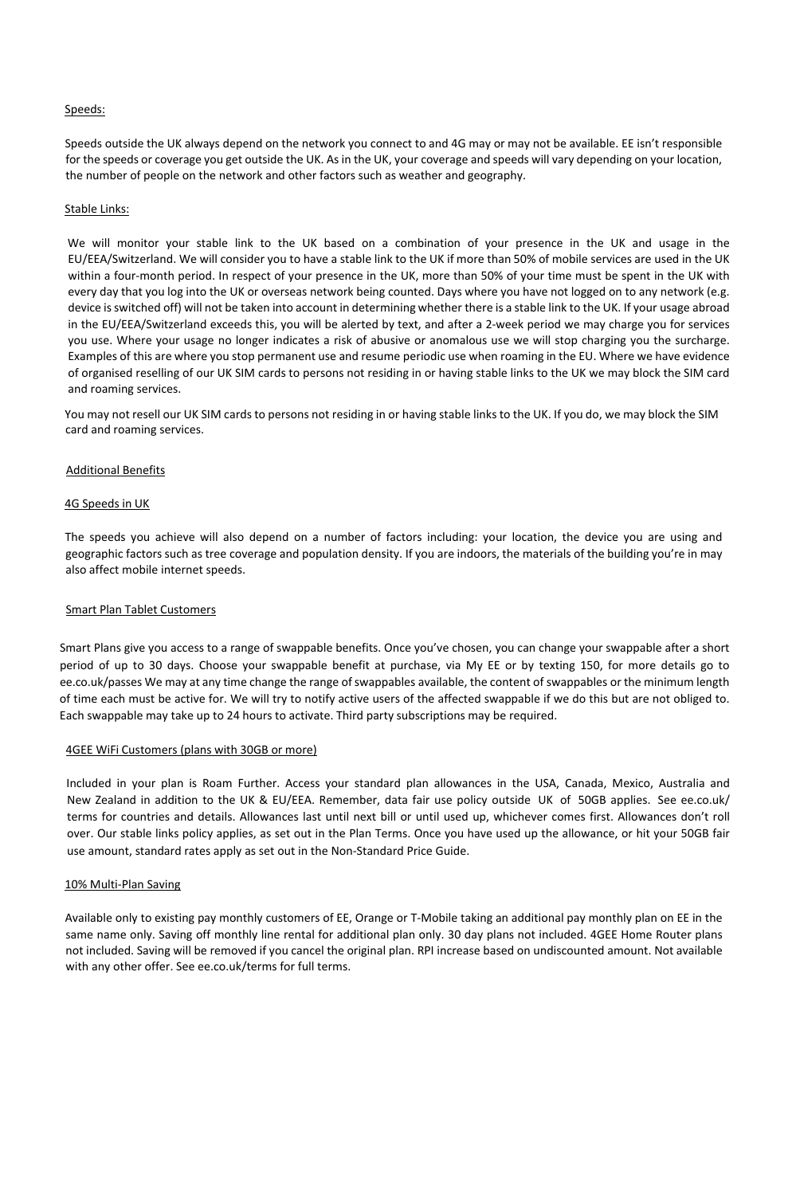## Speeds:

Speeds outside the UK always depend on the network you connect to and 4G may or may not be available. EE isn't responsible for the speeds or coverage you get outside the UK. As in the UK, your coverage and speeds will vary depending on your location, the number of people on the network and other factors such as weather and geography.

#### Stable Links:

We will monitor your stable link to the UK based on a combination of your presence in the UK and usage in the EU/EEA/Switzerland. We will consider you to have a stable link to the UK if more than 50% of mobile services are used in the UK within a four-month period. In respect of your presence in the UK, more than 50% of your time must be spent in the UK with every day that you log into the UK or overseas network being counted. Days where you have not logged on to any network (e.g. device isswitched off) will not be taken into account in determining whether there is a stable link to the UK. If your usage abroad in the EU/EEA/Switzerland exceeds this, you will be alerted by text, and after a 2-week period we may charge you for services you use. Where your usage no longer indicates a risk of abusive or anomalous use we will stop charging you the surcharge. Examples of this are where you stop permanent use and resume periodic use when roaming in the EU. Where we have evidence of organised reselling of our UK SIM cards to persons not residing in or having stable links to the UK we may block the SIM card and roaming services.

You may not resell our UK SIM cards to persons not residing in or having stable links to the UK. If you do, we may block the SIM card and roaming services.

#### Additional Benefits

#### 4G Speeds in UK

The speeds you achieve will also depend on a number of factors including: your location, the device you are using and geographic factors such as tree coverage and population density. If you are indoors, the materials of the building you're in may also affect mobile internet speeds.

#### Smart Plan Tablet Customers

Smart Plans give you access to a range of swappable benefits. Once you've chosen, you can change your swappable after a short period of up to 30 days. Choose your swappable benefit at purchase, via My EE or by texting 150, for more details go to ee.co.uk/passes We may at any time change the range of swappables available, the content of swappables or the minimum length of time each must be active for. We will try to notify active users of the affected swappable if we do this but are not obliged to. Each swappable may take up to 24 hours to activate. Third party subscriptions may be required.

#### 4GEE WiFi Customers (plans with 30GB or more)

Included in your plan is Roam Further. Access your standard plan allowances in the USA, Canada, Mexico, Australia and New Zealand in addition to the UK & EU/EEA. Remember, data fair use policy outside UK of 50GB applies. See ee.co.uk/ terms for countries and details. Allowances last until next bill or until used up, whichever comes first. Allowances don't roll over. Our stable links policy applies, as set out in the Plan Terms. Once you have used up the allowance, or hit your 50GB fair use amount, standard rates apply as set out in the Non-Standard Price Guide.

## 10% Multi-Plan Saving

Available only to existing pay monthly customers of EE, Orange or T-Mobile taking an additional pay monthly plan on EE in the same name only. Saving off monthly line rental for additional plan only. 30 day plans not included. 4GEE Home Router plans not included. Saving will be removed if you cancel the original plan. RPI increase based on undiscounted amount. Not available with any other offer. See ee.co.uk/terms for full terms.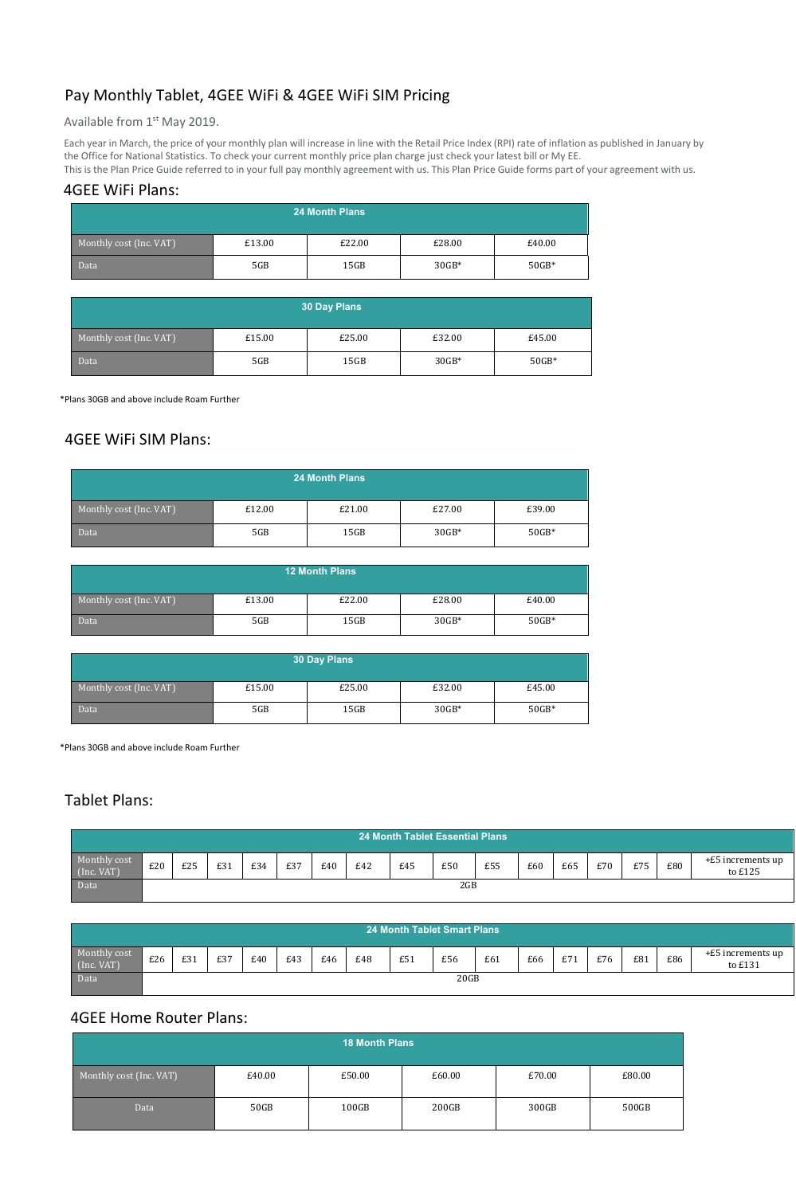# Pay Monthly Tablet, 4GEE WiFi & 4GEE WiFi SIM Pricing

Available from 1<sup>st</sup> May 2019.

Each year in March, the price of your monthly plan will increase in line with the Retail Price Index (RPI) rate of inflation as published in January by the Office for National Statistics. To check your current monthly price plan charge just check your latest bill or My EE.

This is the Plan Price Guide referred to in your full pay monthly agreement with us. This Plan Price Guide forms part of your agreement with us.

## 4GEE WiFi Plans:

| 24 Month Plans          |        |        |         |         |  |  |  |  |
|-------------------------|--------|--------|---------|---------|--|--|--|--|
| Monthly cost (Inc. VAT) | £13.00 | £22.00 | £28.00  | £40.00  |  |  |  |  |
| Data                    | 5GB    | 15GB   | $30GB*$ | $50GB*$ |  |  |  |  |

| <b>30 Day Plans</b>     |        |        |         |         |  |  |  |  |
|-------------------------|--------|--------|---------|---------|--|--|--|--|
| Monthly cost (Inc. VAT) | £15.00 | £25.00 | £32.00  | £45.00  |  |  |  |  |
| Data                    | 5GB    | 15GB   | $30GB*$ | $50GB*$ |  |  |  |  |

\*Plans 30GB and above include Roam Further

## 4GEE WiFi SIM Plans:

| <b>24 Month Plans</b>   |        |        |         |         |  |  |  |
|-------------------------|--------|--------|---------|---------|--|--|--|
| Monthly cost (Inc. VAT) | £12.00 | £21.00 | £27.00  | £39.00  |  |  |  |
| Data                    | 5GB    | 15GB   | $30GB*$ | $50GB*$ |  |  |  |

| <b>12 Month Plans</b>   |        |        |         |         |  |  |  |  |
|-------------------------|--------|--------|---------|---------|--|--|--|--|
| Monthly cost (Inc. VAT) | £13.00 | £22.00 | £28.00  | £40.00  |  |  |  |  |
| Data                    | 5GB    | 15GB   | $30GB*$ | $50GB*$ |  |  |  |  |

| 30 Day Plans            |        |        |         |         |  |  |  |
|-------------------------|--------|--------|---------|---------|--|--|--|
| Monthly cost (Inc. VAT) | £15.00 | £25.00 | £32.00  | £45.00  |  |  |  |
| Data                    | 5GB    | 15GB   | $30GB*$ | $50GB*$ |  |  |  |

\*Plans 30GB and above include Roam Further

# Tablet Plans:

| <b>24 Month Tablet Essential Plans</b> |     |     |     |     |     |     |     |     |     |     |     |     |     |     |     |                                |
|----------------------------------------|-----|-----|-----|-----|-----|-----|-----|-----|-----|-----|-----|-----|-----|-----|-----|--------------------------------|
| Monthly cost<br>(Inc. <i>VAT</i> )     | £20 | £25 | £31 | £34 | £37 | £40 | E42 | £45 | £50 | £55 | £60 | £65 | £70 | £75 | £80 | $+E5$ increments up<br>to £125 |
| Data                                   |     |     |     |     |     |     |     |     | 2GB |     |     |     |     |     |     |                                |

|                            | <b>24 Month Tablet Smart Plans</b> |     |     |     |     |     |     |     |     |     |     |     |     |     |     |                              |
|----------------------------|------------------------------------|-----|-----|-----|-----|-----|-----|-----|-----|-----|-----|-----|-----|-----|-----|------------------------------|
| Monthly cost<br>(Inc. VAT) | £26                                | £31 | £37 | £40 | £43 | £46 | £48 | £51 | £56 | £61 | £66 | E71 | £76 | £81 | £86 | +£5 increments up<br>to £131 |
| Data                       | 20GB                               |     |     |     |     |     |     |     |     |     |     |     |     |     |     |                              |

## 4GEE Home Router Plans:

| 18 Month Plans          |        |        |        |        |        |  |
|-------------------------|--------|--------|--------|--------|--------|--|
| Monthly cost (Inc. VAT) | £40.00 | £50.00 | £60.00 | £70.00 | £80.00 |  |
| Data                    | 50GB   | 100GB  | 200GB  | 300GB  | 500GB  |  |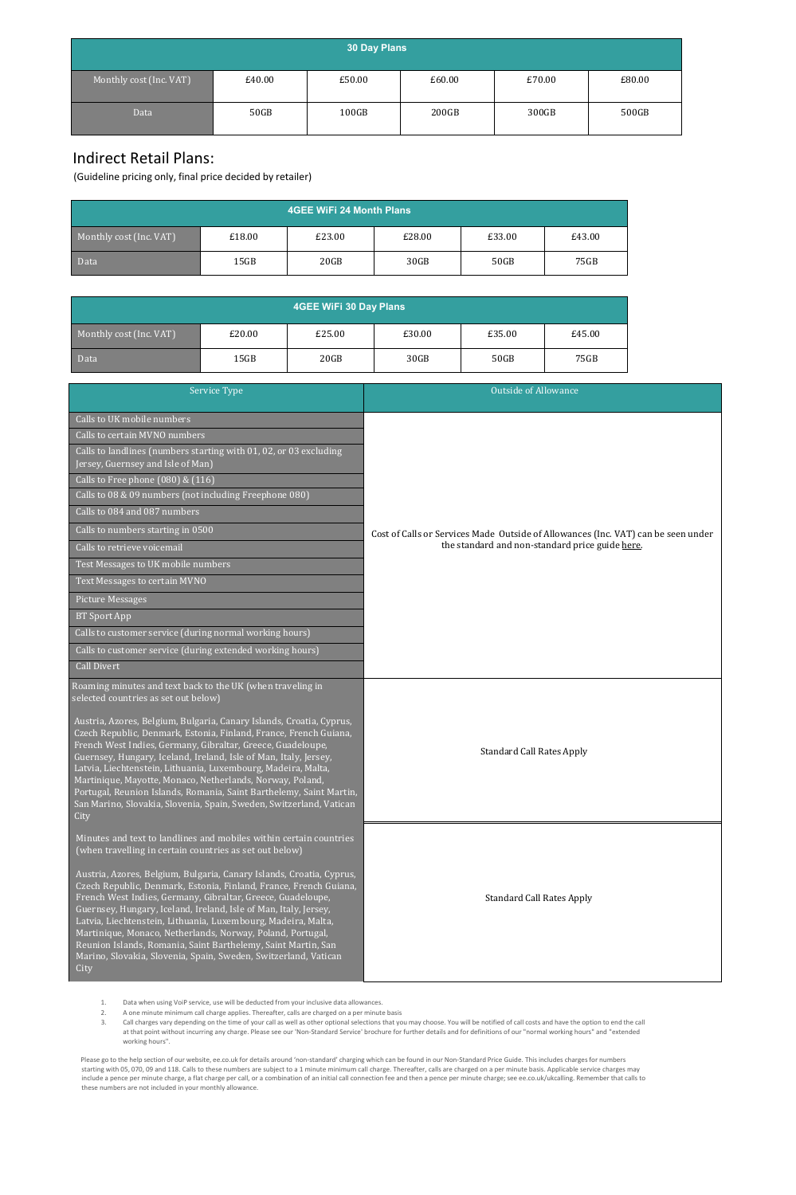| 30 Day Plans            |        |        |        |        |        |  |
|-------------------------|--------|--------|--------|--------|--------|--|
| Monthly cost (Inc. VAT) | £40.00 | £50.00 | £60.00 | £70.00 | £80.00 |  |
| Data                    | 50GB   | 100GB  | 200GB  | 300GB  | 500GB  |  |

# Indirect Retail Plans:

(Guideline pricing only, final price decided by retailer)

| 4GEE WiFi 24 Month Plans |        |        |        |        |        |  |
|--------------------------|--------|--------|--------|--------|--------|--|
| Monthly cost (Inc. VAT)  | £18.00 | £23.00 | £28.00 | £33.00 | £43.00 |  |
| <b>Data</b>              | 15GB   | 20GB   | 30GB   | 50GB   | 75GB   |  |

| <b>4GEE WiFi 30 Day Plans</b> |        |        |        |        |        |  |
|-------------------------------|--------|--------|--------|--------|--------|--|
| Monthly cost (Inc. VAT)       | £20.00 | £25.00 | £30.00 | £35.00 | £45.00 |  |
| Data                          | 15GB   | 20GB   | 30GB   | 50GB   | 75GB   |  |

| Service Type                                                                                                                                                                                                                                                                                                                                                                                                                                                                                                                                                     | <b>Outside of Allowance</b>                                                       |
|------------------------------------------------------------------------------------------------------------------------------------------------------------------------------------------------------------------------------------------------------------------------------------------------------------------------------------------------------------------------------------------------------------------------------------------------------------------------------------------------------------------------------------------------------------------|-----------------------------------------------------------------------------------|
| Calls to UK mobile numbers                                                                                                                                                                                                                                                                                                                                                                                                                                                                                                                                       |                                                                                   |
| Calls to certain MVNO numbers                                                                                                                                                                                                                                                                                                                                                                                                                                                                                                                                    |                                                                                   |
| Calls to landlines (numbers starting with 01, 02, or 03 excluding<br>Jersey, Guernsey and Isle of Man)                                                                                                                                                                                                                                                                                                                                                                                                                                                           |                                                                                   |
| Calls to Free phone (080) & (116)                                                                                                                                                                                                                                                                                                                                                                                                                                                                                                                                |                                                                                   |
| Calls to 08 & 09 numbers (not including Freephone 080)                                                                                                                                                                                                                                                                                                                                                                                                                                                                                                           |                                                                                   |
| Calls to 084 and 087 numbers                                                                                                                                                                                                                                                                                                                                                                                                                                                                                                                                     |                                                                                   |
| Calls to numbers starting in 0500                                                                                                                                                                                                                                                                                                                                                                                                                                                                                                                                | Cost of Calls or Services Made Outside of Allowances (Inc. VAT) can be seen under |
| Calls to retrieve voicemail                                                                                                                                                                                                                                                                                                                                                                                                                                                                                                                                      | the standard and non-standard price guide here.                                   |
| Test Messages to UK mobile numbers                                                                                                                                                                                                                                                                                                                                                                                                                                                                                                                               |                                                                                   |
| Text Messages to certain MVNO                                                                                                                                                                                                                                                                                                                                                                                                                                                                                                                                    |                                                                                   |
| <b>Picture Messages</b>                                                                                                                                                                                                                                                                                                                                                                                                                                                                                                                                          |                                                                                   |
| <b>BT</b> Sport App                                                                                                                                                                                                                                                                                                                                                                                                                                                                                                                                              |                                                                                   |
| Calls to customer service (during normal working hours)                                                                                                                                                                                                                                                                                                                                                                                                                                                                                                          |                                                                                   |
| Calls to customer service (during extended working hours)                                                                                                                                                                                                                                                                                                                                                                                                                                                                                                        |                                                                                   |
| Call Divert                                                                                                                                                                                                                                                                                                                                                                                                                                                                                                                                                      |                                                                                   |
| Roaming minutes and text back to the UK (when traveling in<br>selected countries as set out below)                                                                                                                                                                                                                                                                                                                                                                                                                                                               |                                                                                   |
| Austria, Azores, Belgium, Bulgaria, Canary Islands, Croatia, Cyprus,<br>Czech Republic, Denmark, Estonia, Finland, France, French Guiana,<br>French West Indies, Germany, Gibraltar, Greece, Guadeloupe,<br>Guernsey, Hungary, Iceland, Ireland, Isle of Man, Italy, Jersey,<br>Latvia, Liechtenstein, Lithuania, Luxembourg, Madeira, Malta,<br>Martinique, Mayotte, Monaco, Netherlands, Norway, Poland,<br>Portugal, Reunion Islands, Romania, Saint Barthelemy, Saint Martin,<br>San Marino, Slovakia, Slovenia, Spain, Sweden, Switzerland, Vatican<br>City | <b>Standard Call Rates Apply</b>                                                  |
| Minutes and text to landlines and mobiles within certain countries<br>(when travelling in certain countries as set out below)                                                                                                                                                                                                                                                                                                                                                                                                                                    |                                                                                   |
| Austria, Azores, Belgium, Bulgaria, Canary Islands, Croatia, Cyprus,<br>Czech Republic, Denmark, Estonia, Finland, France, French Guiana,<br>French West Indies, Germany, Gibraltar, Greece, Guadeloupe,<br>Guernsey, Hungary, Iceland, Ireland, Isle of Man, Italy, Jersey,<br>Latvia, Liechtenstein, Lithuania, Luxembourg, Madeira, Malta,<br>Martinique, Monaco, Netherlands, Norway, Poland, Portugal,<br>Reunion Islands, Romania, Saint Barthelemy, Saint Martin, San<br>Marino, Slovakia, Slovenia, Spain, Sweden, Switzerland, Vatican<br>City          | <b>Standard Call Rates Apply</b>                                                  |

- 1. Data when using VoiP service, use will be deducted from your inclusive data allowances.
- 2. A one minute minimum call charge applies. Thereafter, calls are charged on a per minute basis
- 3. Call charges vary depending on the time of your call as well as other optional selections that you may choose. You will be notified of call costs and have the option to end the call<br>at that point without incurring any c working hours".

Please go to the help section of our website, ee.co.uk for details around 'non-standard' charging which can be found in our Non-Standard Price Guide. This includes charges for numbers<br>istring with 05, 070, 09 and 118. Call